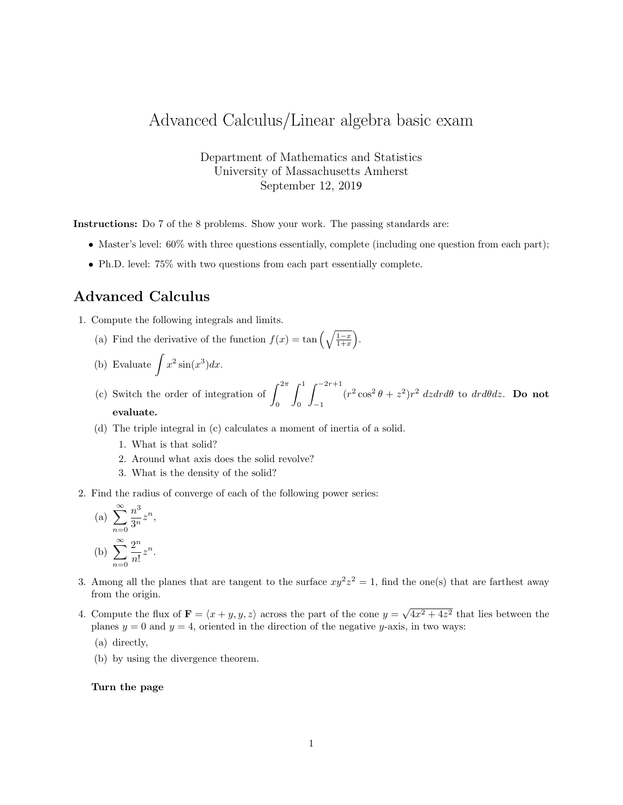## Advanced Calculus/Linear algebra basic exam

Department of Mathematics and Statistics University of Massachusetts Amherst September 12, 2019

Instructions: Do 7 of the 8 problems. Show your work. The passing standards are:

- Master's level:  $60\%$  with three questions essentially, complete (including one question from each part);
- Ph.D. level: 75% with two questions from each part essentially complete.

## Advanced Calculus

- 1. Compute the following integrals and limits.
	- (a) Find the derivative of the function  $f(x) = \tan\left(\sqrt{\frac{1-x}{1+x}}\right)$ .
	- (b) Evaluate  $\int x^2 \sin(x^3) dx$ .
	- (c) Switch the order of integration of  $\int_{0}^{2\pi}$ 0  $\int_0^1$ 0  $\int_{0}^{-2r+1}$ −1  $(r^2 \cos^2 \theta + z^2)r^2$  dzdrd $\theta$  to drd $\theta$ dz. **Do not** evaluate.
	- (d) The triple integral in (c) calculates a moment of inertia of a solid.
		- 1. What is that solid?
		- 2. Around what axis does the solid revolve?
		- 3. What is the density of the solid?
- 2. Find the radius of converge of each of the following power series:

(a) 
$$
\sum_{n=0}^{\infty} \frac{n^3}{3^n} z^n,
$$
  
(b) 
$$
\sum_{n=0}^{\infty} \frac{2^n}{n!} z^n.
$$

- 3. Among all the planes that are tangent to the surface  $xy^2z^2 = 1$ , find the one(s) that are farthest away from the origin.
- 4. Compute the flux of  $\mathbf{F} = \langle x + y, y, z \rangle$  across the part of the cone  $y =$ √  $4x^2 + 4z^2$  that lies between the planes  $y = 0$  and  $y = 4$ , oriented in the direction of the negative y-axis, in two ways:
	- (a) directly,
	- (b) by using the divergence theorem.

## Turn the page